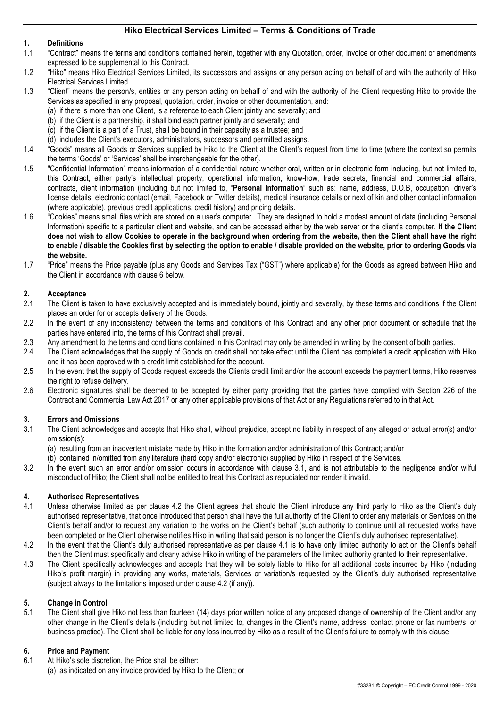# **1. Definitions**

- 1.1 "Contract" means the terms and conditions contained herein, together with any Quotation, order, invoice or other document or amendments expressed to be supplemental to this Contract.
- 1.2 "Hiko" means Hiko Electrical Services Limited, its successors and assigns or any person acting on behalf of and with the authority of Hiko Electrical Services Limited.
- 1.3 "Client" means the person/s, entities or any person acting on behalf of and with the authority of the Client requesting Hiko to provide the Services as specified in any proposal, quotation, order, invoice or other documentation, and:
	- (a) if there is more than one Client, is a reference to each Client jointly and severally; and
	- (b) if the Client is a partnership, it shall bind each partner jointly and severally; and
	- (c) if the Client is a part of a Trust, shall be bound in their capacity as a trustee; and
	- (d) includes the Client's executors, administrators, successors and permitted assigns.
- 1.4 "Goods" means all Goods or Services supplied by Hiko to the Client at the Client's request from time to time (where the context so permits the terms 'Goods' or 'Services' shall be interchangeable for the other).
- 1.5 "Confidential Information" means information of a confidential nature whether oral, written or in electronic form including, but not limited to, this Contract, either party's intellectual property, operational information, know-how, trade secrets, financial and commercial affairs, contracts, client information (including but not limited to, "**Personal Information**" such as: name, address, D.O.B, occupation, driver's license details, electronic contact (email, Facebook or Twitter details), medical insurance details or next of kin and other contact information (where applicable), previous credit applications, credit history) and pricing details.
- 1.6 "Cookies" means small files which are stored on a user's computer. They are designed to hold a modest amount of data (including Personal Information) specific to a particular client and website, and can be accessed either by the web server or the client's computer. **If the Client does not wish to allow Cookies to operate in the background when ordering from the website, then the Client shall have the right to enable / disable the Cookies first by selecting the option to enable / disable provided on the website, prior to ordering Goods via the website.**
- 1.7 "Price" means the Price payable (plus any Goods and Services Tax ("GST") where applicable) for the Goods as agreed between Hiko and the Client in accordance with clause 6 below.

## **2. Acceptance**

- 2.1 The Client is taken to have exclusively accepted and is immediately bound, jointly and severally, by these terms and conditions if the Client places an order for or accepts delivery of the Goods.
- 2.2 In the event of any inconsistency between the terms and conditions of this Contract and any other prior document or schedule that the parties have entered into, the terms of this Contract shall prevail.
- 2.3 Any amendment to the terms and conditions contained in this Contract may only be amended in writing by the consent of both parties.
- 2.4 The Client acknowledges that the supply of Goods on credit shall not take effect until the Client has completed a credit application with Hiko and it has been approved with a credit limit established for the account.
- 2.5 In the event that the supply of Goods request exceeds the Clients credit limit and/or the account exceeds the payment terms, Hiko reserves the right to refuse delivery.
- 2.6 Electronic signatures shall be deemed to be accepted by either party providing that the parties have complied with Section 226 of the Contract and Commercial Law Act 2017 or any other applicable provisions of that Act or any Regulations referred to in that Act.

#### **3. Errors and Omissions**

- 3.1 The Client acknowledges and accepts that Hiko shall, without prejudice, accept no liability in respect of any alleged or actual error(s) and/or omission(s):
	- (a) resulting from an inadvertent mistake made by Hiko in the formation and/or administration of this Contract; and/or
	- (b) contained in/omitted from any literature (hard copy and/or electronic) supplied by Hiko in respect of the Services.
- 3.2 In the event such an error and/or omission occurs in accordance with clause 3.1, and is not attributable to the negligence and/or wilful misconduct of Hiko; the Client shall not be entitled to treat this Contract as repudiated nor render it invalid.

#### **4. Authorised Representatives**

- 4.1 Unless otherwise limited as per clause 4.2 the Client agrees that should the Client introduce any third party to Hiko as the Client's duly authorised representative, that once introduced that person shall have the full authority of the Client to order any materials or Services on the Client's behalf and/or to request any variation to the works on the Client's behalf (such authority to continue until all requested works have been completed or the Client otherwise notifies Hiko in writing that said person is no longer the Client's duly authorised representative).
- 4.2 In the event that the Client's duly authorised representative as per clause 4.1 is to have only limited authority to act on the Client's behalf then the Client must specifically and clearly advise Hiko in writing of the parameters of the limited authority granted to their representative.
- 4.3 The Client specifically acknowledges and accepts that they will be solely liable to Hiko for all additional costs incurred by Hiko (including Hiko's profit margin) in providing any works, materials, Services or variation/s requested by the Client's duly authorised representative (subject always to the limitations imposed under clause 4.2 (if any)).

# **5. Change in Control**

The Client shall give Hiko not less than fourteen (14) days prior written notice of any proposed change of ownership of the Client and/or any other change in the Client's details (including but not limited to, changes in the Client's name, address, contact phone or fax number/s, or business practice). The Client shall be liable for any loss incurred by Hiko as a result of the Client's failure to comply with this clause.

## **6. Price and Payment**

- 6.1 At Hiko's sole discretion, the Price shall be either:
	- (a) as indicated on any invoice provided by Hiko to the Client; or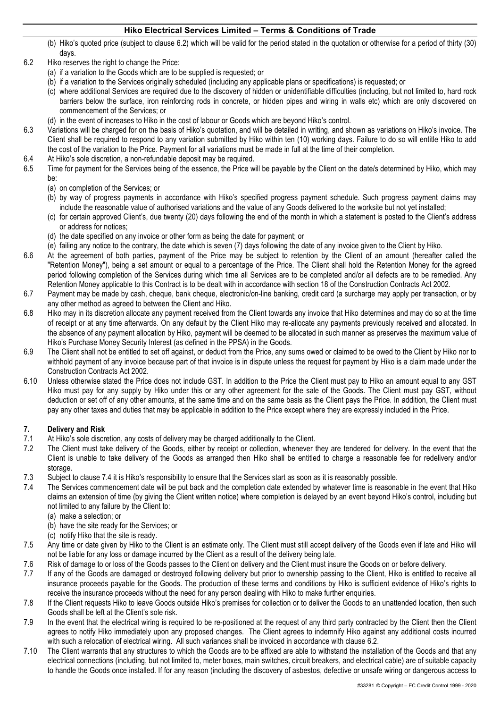- (b) Hiko's quoted price (subject to clause 6.2) which will be valid for the period stated in the quotation or otherwise for a period of thirty (30) days.
- 6.2 Hiko reserves the right to change the Price:
	- (a) if a variation to the Goods which are to be supplied is requested; or
	- (b) if a variation to the Services originally scheduled (including any applicable plans or specifications) is requested; or
	- (c) where additional Services are required due to the discovery of hidden or unidentifiable difficulties (including, but not limited to, hard rock barriers below the surface, iron reinforcing rods in concrete, or hidden pipes and wiring in walls etc) which are only discovered on commencement of the Services; or
	- (d) in the event of increases to Hiko in the cost of labour or Goods which are beyond Hiko's control.
- 6.3 Variations will be charged for on the basis of Hiko's quotation, and will be detailed in writing, and shown as variations on Hiko's invoice. The Client shall be required to respond to any variation submitted by Hiko within ten (10) working days. Failure to do so will entitle Hiko to add the cost of the variation to the Price. Payment for all variations must be made in full at the time of their completion.
- 6.4 At Hiko's sole discretion, a non-refundable deposit may be required.
- 6.5 Time for payment for the Services being of the essence, the Price will be payable by the Client on the date/s determined by Hiko, which may be:
	- (a) on completion of the Services; or
	- (b) by way of progress payments in accordance with Hiko's specified progress payment schedule. Such progress payment claims may include the reasonable value of authorised variations and the value of any Goods delivered to the worksite but not yet installed;
	- (c) for certain approved Client's, due twenty (20) days following the end of the month in which a statement is posted to the Client's address or address for notices;
	- (d) the date specified on any invoice or other form as being the date for payment; or
	- (e) failing any notice to the contrary, the date which is seven (7) days following the date of any invoice given to the Client by Hiko.
- 6.6 At the agreement of both parties, payment of the Price may be subject to retention by the Client of an amount (hereafter called the "Retention Money"), being a set amount or equal to a percentage of the Price. The Client shall hold the Retention Money for the agreed period following completion of the Services during which time all Services are to be completed and/or all defects are to be remedied. Any Retention Money applicable to this Contract is to be dealt with in accordance with section 18 of the Construction Contracts Act 2002.
- 6.7 Payment may be made by cash, cheque, bank cheque, electronic/on-line banking, credit card (a surcharge may apply per transaction, or by any other method as agreed to between the Client and Hiko.
- 6.8 Hiko may in its discretion allocate any payment received from the Client towards any invoice that Hiko determines and may do so at the time of receipt or at any time afterwards. On any default by the Client Hiko may re-allocate any payments previously received and allocated. In the absence of any payment allocation by Hiko, payment will be deemed to be allocated in such manner as preserves the maximum value of Hiko's Purchase Money Security Interest (as defined in the PPSA) in the Goods.
- 6.9 The Client shall not be entitled to set off against, or deduct from the Price, any sums owed or claimed to be owed to the Client by Hiko nor to withhold payment of any invoice because part of that invoice is in dispute unless the request for payment by Hiko is a claim made under the Construction Contracts Act 2002.
- 6.10 Unless otherwise stated the Price does not include GST. In addition to the Price the Client must pay to Hiko an amount equal to any GST Hiko must pay for any supply by Hiko under this or any other agreement for the sale of the Goods. The Client must pay GST, without deduction or set off of any other amounts, at the same time and on the same basis as the Client pays the Price. In addition, the Client must pay any other taxes and duties that may be applicable in addition to the Price except where they are expressly included in the Price.

# **7. Delivery and Risk**

- 7.1 At Hiko's sole discretion, any costs of delivery may be charged additionally to the Client.
- 7.2 The Client must take delivery of the Goods, either by receipt or collection, whenever they are tendered for delivery. In the event that the Client is unable to take delivery of the Goods as arranged then Hiko shall be entitled to charge a reasonable fee for redelivery and/or storage.
- 7.3 Subject to clause 7.4 it is Hiko's responsibility to ensure that the Services start as soon as it is reasonably possible.
- 7.4 The Services commencement date will be put back and the completion date extended by whatever time is reasonable in the event that Hiko claims an extension of time (by giving the Client written notice) where completion is delayed by an event beyond Hiko's control, including but not limited to any failure by the Client to:
	- (a) make a selection; or
	- (b) have the site ready for the Services; or
	- (c) notify Hiko that the site is ready.
- 7.5 Any time or date given by Hiko to the Client is an estimate only. The Client must still accept delivery of the Goods even if late and Hiko will not be liable for any loss or damage incurred by the Client as a result of the delivery being late.
- 7.6 Risk of damage to or loss of the Goods passes to the Client on delivery and the Client must insure the Goods on or before delivery.
- 7.7 If any of the Goods are damaged or destroyed following delivery but prior to ownership passing to the Client, Hiko is entitled to receive all insurance proceeds payable for the Goods. The production of these terms and conditions by Hiko is sufficient evidence of Hiko's rights to receive the insurance proceeds without the need for any person dealing with Hiko to make further enquiries.
- 7.8 If the Client requests Hiko to leave Goods outside Hiko's premises for collection or to deliver the Goods to an unattended location, then such Goods shall be left at the Client's sole risk.
- 7.9 In the event that the electrical wiring is required to be re-positioned at the request of any third party contracted by the Client then the Client agrees to notify Hiko immediately upon any proposed changes. The Client agrees to indemnify Hiko against any additional costs incurred with such a relocation of electrical wiring. All such variances shall be invoiced in accordance with clause 6.2.
- 7.10 The Client warrants that any structures to which the Goods are to be affixed are able to withstand the installation of the Goods and that any electrical connections (including, but not limited to, meter boxes, main switches, circuit breakers, and electrical cable) are of suitable capacity to handle the Goods once installed. If for any reason (including the discovery of asbestos, defective or unsafe wiring or dangerous access to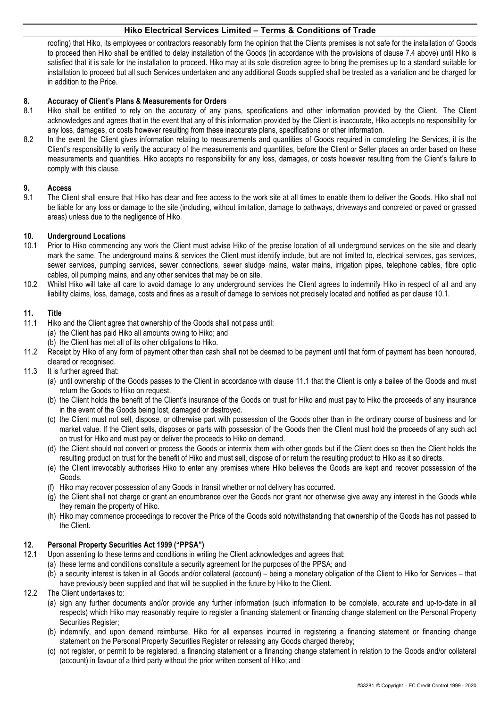roofing) that Hiko, its employees or contractors reasonably form the opinion that the Clients premises is not safe for the installation of Goods to proceed then Hiko shall be entitled to delay installation of the Goods (in accordance with the provisions of clause 7.4 above) until Hiko is satisfied that it is safe for the installation to proceed. Hiko may at its sole discretion agree to bring the premises up to a standard suitable for installation to proceed but all such Services undertaken and any additional Goods supplied shall be treated as a variation and be charged for in addition to the Price.

### **8. Accuracy of Client's Plans & Measurements for Orders**

- 8.1 Hiko shall be entitled to rely on the accuracy of any plans, specifications and other information provided by the Client. The Client acknowledges and agrees that in the event that any of this information provided by the Client is inaccurate, Hiko accepts no responsibility for any loss, damages, or costs however resulting from these inaccurate plans, specifications or other information.
- 8.2 In the event the Client gives information relating to measurements and quantities of Goods required in completing the Services, it is the Client's responsibility to verify the accuracy of the measurements and quantities, before the Client or Seller places an order based on these measurements and quantities. Hiko accepts no responsibility for any loss, damages, or costs however resulting from the Client's failure to comply with this clause.

### **9. Access**

9.1 The Client shall ensure that Hiko has clear and free access to the work site at all times to enable them to deliver the Goods. Hiko shall not be liable for any loss or damage to the site (including, without limitation, damage to pathways, driveways and concreted or paved or grassed areas) unless due to the negligence of Hiko.

#### **10. Underground Locations**

- 10.1 Prior to Hiko commencing any work the Client must advise Hiko of the precise location of all underground services on the site and clearly mark the same. The underground mains & services the Client must identify include, but are not limited to, electrical services, gas services, sewer services, pumping services, sewer connections, sewer sludge mains, water mains, irrigation pipes, telephone cables, fibre optic cables, oil pumping mains, and any other services that may be on site.
- 10.2 Whilst Hiko will take all care to avoid damage to any underground services the Client agrees to indemnify Hiko in respect of all and any liability claims, loss, damage, costs and fines as a result of damage to services not precisely located and notified as per clause 10.1.

#### **11. Title**

- 11.1 Hiko and the Client agree that ownership of the Goods shall not pass until: (a) the Client has paid Hiko all amounts owing to Hiko; and (b) the Client has met all of its other obligations to Hiko.
- 11.2 Receipt by Hiko of any form of payment other than cash shall not be deemed to be payment until that form of payment has been honoured, cleared or recognised.
- 11.3 It is further agreed that:
	- (a) until ownership of the Goods passes to the Client in accordance with clause 11.1 that the Client is only a bailee of the Goods and must return the Goods to Hiko on request.
	- (b) the Client holds the benefit of the Client's insurance of the Goods on trust for Hiko and must pay to Hiko the proceeds of any insurance in the event of the Goods being lost, damaged or destroyed.
	- (c) the Client must not sell, dispose, or otherwise part with possession of the Goods other than in the ordinary course of business and for market value. If the Client sells, disposes or parts with possession of the Goods then the Client must hold the proceeds of any such act on trust for Hiko and must pay or deliver the proceeds to Hiko on demand.
	- (d) the Client should not convert or process the Goods or intermix them with other goods but if the Client does so then the Client holds the resulting product on trust for the benefit of Hiko and must sell, dispose of or return the resulting product to Hiko as it so directs.
	- (e) the Client irrevocably authorises Hiko to enter any premises where Hiko believes the Goods are kept and recover possession of the Goods.
	- (f) Hiko may recover possession of any Goods in transit whether or not delivery has occurred.
	- (g) the Client shall not charge or grant an encumbrance over the Goods nor grant nor otherwise give away any interest in the Goods while they remain the property of Hiko.
	- (h) Hiko may commence proceedings to recover the Price of the Goods sold notwithstanding that ownership of the Goods has not passed to the Client.

#### **12. Personal Property Securities Act 1999 ("PPSA")**

- 12.1 Upon assenting to these terms and conditions in writing the Client acknowledges and agrees that:
	- (a) these terms and conditions constitute a security agreement for the purposes of the PPSA; and
	- (b) a security interest is taken in all Goods and/or collateral (account) being a monetary obligation of the Client to Hiko for Services that have previously been supplied and that will be supplied in the future by Hiko to the Client.
- 12.2 The Client undertakes to:
	- (a) sign any further documents and/or provide any further information (such information to be complete, accurate and up-to-date in all respects) which Hiko may reasonably require to register a financing statement or financing change statement on the Personal Property Securities Register:
	- (b) indemnify, and upon demand reimburse, Hiko for all expenses incurred in registering a financing statement or financing change statement on the Personal Property Securities Register or releasing any Goods charged thereby;
	- (c) not register, or permit to be registered, a financing statement or a financing change statement in relation to the Goods and/or collateral (account) in favour of a third party without the prior written consent of Hiko; and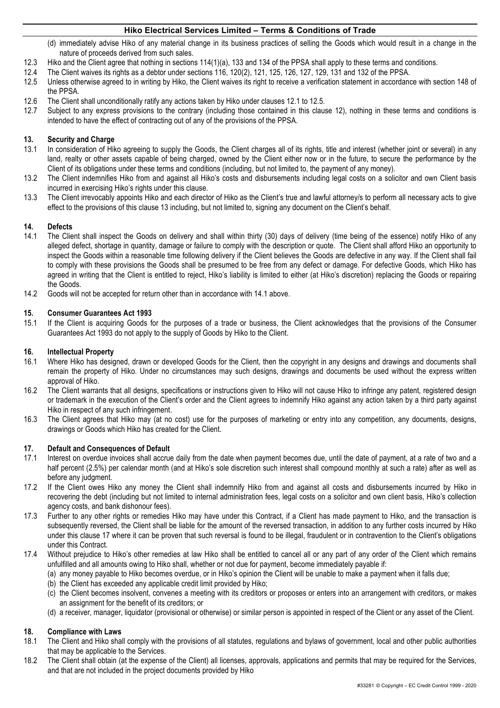- (d) immediately advise Hiko of any material change in its business practices of selling the Goods which would result in a change in the nature of proceeds derived from such sales.
- 12.3 Hiko and the Client agree that nothing in sections 114(1)(a), 133 and 134 of the PPSA shall apply to these terms and conditions.
- 12.4 The Client waives its rights as a debtor under sections 116, 120(2), 121, 125, 126, 127, 129, 131 and 132 of the PPSA.
- 12.5 Unless otherwise agreed to in writing by Hiko, the Client waives its right to receive a verification statement in accordance with section 148 of the PPSA.
- 12.6 The Client shall unconditionally ratify any actions taken by Hiko under clauses 12.1 to 12.5.
- 12.7 Subject to any express provisions to the contrary (including those contained in this clause 12), nothing in these terms and conditions is intended to have the effect of contracting out of any of the provisions of the PPSA.

# **13. Security and Charge**

- 13.1 In consideration of Hiko agreeing to supply the Goods, the Client charges all of its rights, title and interest (whether joint or several) in any land, realty or other assets capable of being charged, owned by the Client either now or in the future, to secure the performance by the Client of its obligations under these terms and conditions (including, but not limited to, the payment of any money).
- 13.2 The Client indemnifies Hiko from and against all Hiko's costs and disbursements including legal costs on a solicitor and own Client basis incurred in exercising Hiko's rights under this clause.
- 13.3 The Client irrevocably appoints Hiko and each director of Hiko as the Client's true and lawful attorney/s to perform all necessary acts to give effect to the provisions of this clause 13 including, but not limited to, signing any document on the Client's behalf.

## **14. Defects**

- 14.1 The Client shall inspect the Goods on delivery and shall within thirty (30) days of delivery (time being of the essence) notify Hiko of any alleged defect, shortage in quantity, damage or failure to comply with the description or quote. The Client shall afford Hiko an opportunity to inspect the Goods within a reasonable time following delivery if the Client believes the Goods are defective in any way. If the Client shall fail to comply with these provisions the Goods shall be presumed to be free from any defect or damage. For defective Goods, which Hiko has agreed in writing that the Client is entitled to reject, Hiko's liability is limited to either (at Hiko's discretion) replacing the Goods or repairing the Goods.
- 14.2 Goods will not be accepted for return other than in accordance with 14.1 above.

#### **15. Consumer Guarantees Act 1993**

15.1 If the Client is acquiring Goods for the purposes of a trade or business, the Client acknowledges that the provisions of the Consumer Guarantees Act 1993 do not apply to the supply of Goods by Hiko to the Client.

#### **16. Intellectual Property**

- 16.1 Where Hiko has designed, drawn or developed Goods for the Client, then the copyright in any designs and drawings and documents shall remain the property of Hiko. Under no circumstances may such designs, drawings and documents be used without the express written approval of Hiko.
- 16.2 The Client warrants that all designs, specifications or instructions given to Hiko will not cause Hiko to infringe any patent, registered design or trademark in the execution of the Client's order and the Client agrees to indemnify Hiko against any action taken by a third party against Hiko in respect of any such infringement.
- 16.3 The Client agrees that Hiko may (at no cost) use for the purposes of marketing or entry into any competition, any documents, designs, drawings or Goods which Hiko has created for the Client.

#### **17. Default and Consequences of Default**

- 17.1 Interest on overdue invoices shall accrue daily from the date when payment becomes due, until the date of payment, at a rate of two and a half percent (2.5%) per calendar month (and at Hiko's sole discretion such interest shall compound monthly at such a rate) after as well as before any judgment.
- 17.2 If the Client owes Hiko any money the Client shall indemnify Hiko from and against all costs and disbursements incurred by Hiko in recovering the debt (including but not limited to internal administration fees, legal costs on a solicitor and own client basis, Hiko's collection agency costs, and bank dishonour fees).
- 17.3 Further to any other rights or remedies Hiko may have under this Contract, if a Client has made payment to Hiko, and the transaction is subsequently reversed, the Client shall be liable for the amount of the reversed transaction, in addition to any further costs incurred by Hiko under this clause 17 where it can be proven that such reversal is found to be illegal, fraudulent or in contravention to the Client's obligations under this Contract.
- 17.4 Without prejudice to Hiko's other remedies at law Hiko shall be entitled to cancel all or any part of any order of the Client which remains unfulfilled and all amounts owing to Hiko shall, whether or not due for payment, become immediately payable if:
	- (a) any money payable to Hiko becomes overdue, or in Hiko's opinion the Client will be unable to make a payment when it falls due;
	- (b) the Client has exceeded any applicable credit limit provided by Hiko;
	- (c) the Client becomes insolvent, convenes a meeting with its creditors or proposes or enters into an arrangement with creditors, or makes an assignment for the benefit of its creditors; or
	- (d) a receiver, manager, liquidator (provisional or otherwise) or similar person is appointed in respect of the Client or any asset of the Client.

#### **18. Compliance with Laws**

- 18.1 The Client and Hiko shall comply with the provisions of all statutes, regulations and bylaws of government, local and other public authorities that may be applicable to the Services.
- 18.2 The Client shall obtain (at the expense of the Client) all licenses, approvals, applications and permits that may be required for the Services, and that are not included in the project documents provided by Hiko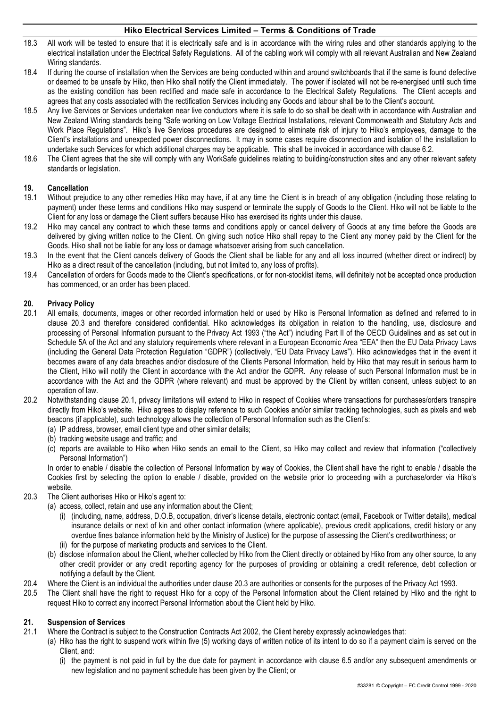- 18.3 All work will be tested to ensure that it is electrically safe and is in accordance with the wiring rules and other standards applying to the electrical installation under the Electrical Safety Regulations. All of the cabling work will comply with all relevant Australian and New Zealand Wiring standards.
- 18.4 If during the course of installation when the Services are being conducted within and around switchboards that if the same is found defective or deemed to be unsafe by Hiko, then Hiko shall notify the Client immediately. The power if isolated will not be re-energised until such time as the existing condition has been rectified and made safe in accordance to the Electrical Safety Regulations. The Client accepts and agrees that any costs associated with the rectification Services including any Goods and labour shall be to the Client's account.
- 18.5 Any live Services or Services undertaken near live conductors where it is safe to do so shall be dealt with in accordance with Australian and New Zealand Wiring standards being "Safe working on Low Voltage Electrical Installations, relevant Commonwealth and Statutory Acts and Work Place Regulations". Hiko's live Services procedures are designed to eliminate risk of injury to Hiko's employees, damage to the Client's installations and unexpected power disconnections. It may in some cases require disconnection and isolation of the installation to undertake such Services for which additional charges may be applicable. This shall be invoiced in accordance with clause 6.2.
- 18.6 The Client agrees that the site will comply with any WorkSafe guidelines relating to building/construction sites and any other relevant safety standards or legislation.

## **19. Cancellation**

- 19.1 Without prejudice to any other remedies Hiko may have, if at any time the Client is in breach of any obligation (including those relating to payment) under these terms and conditions Hiko may suspend or terminate the supply of Goods to the Client. Hiko will not be liable to the Client for any loss or damage the Client suffers because Hiko has exercised its rights under this clause.
- 19.2 Hiko may cancel any contract to which these terms and conditions apply or cancel delivery of Goods at any time before the Goods are delivered by giving written notice to the Client. On giving such notice Hiko shall repay to the Client any money paid by the Client for the Goods. Hiko shall not be liable for any loss or damage whatsoever arising from such cancellation.
- 19.3 In the event that the Client cancels delivery of Goods the Client shall be liable for any and all loss incurred (whether direct or indirect) by Hiko as a direct result of the cancellation (including, but not limited to, any loss of profits).
- 19.4 Cancellation of orders for Goods made to the Client's specifications, or for non-stocklist items, will definitely not be accepted once production has commenced, or an order has been placed.

## **20. Privacy Policy**

- 20.1 All emails, documents, images or other recorded information held or used by Hiko is Personal Information as defined and referred to in clause 20.3 and therefore considered confidential. Hiko acknowledges its obligation in relation to the handling, use, disclosure and processing of Personal Information pursuant to the Privacy Act 1993 ("the Act") including Part II of the OECD Guidelines and as set out in Schedule 5A of the Act and any statutory requirements where relevant in a European Economic Area "EEA" then the EU Data Privacy Laws (including the General Data Protection Regulation "GDPR") (collectively, "EU Data Privacy Laws"). Hiko acknowledges that in the event it becomes aware of any data breaches and/or disclosure of the Clients Personal Information, held by Hiko that may result in serious harm to the Client, Hiko will notify the Client in accordance with the Act and/or the GDPR. Any release of such Personal Information must be in accordance with the Act and the GDPR (where relevant) and must be approved by the Client by written consent, unless subject to an operation of law.
- 20.2 Notwithstanding clause 20.1, privacy limitations will extend to Hiko in respect of Cookies where transactions for purchases/orders transpire directly from Hiko's website. Hiko agrees to display reference to such Cookies and/or similar tracking technologies, such as pixels and web beacons (if applicable), such technology allows the collection of Personal Information such as the Client's:
	- (a) IP address, browser, email client type and other similar details;
	- (b) tracking website usage and traffic; and
	- (c) reports are available to Hiko when Hiko sends an email to the Client, so Hiko may collect and review that information ("collectively Personal Information")

In order to enable / disable the collection of Personal Information by way of Cookies, the Client shall have the right to enable / disable the Cookies first by selecting the option to enable / disable, provided on the website prior to proceeding with a purchase/order via Hiko's website.

- 20.3 The Client authorises Hiko or Hiko's agent to:
	- (a) access, collect, retain and use any information about the Client;
		- (i) (including, name, address, D.O.B, occupation, driver's license details, electronic contact (email, Facebook or Twitter details), medical insurance details or next of kin and other contact information (where applicable), previous credit applications, credit history or any overdue fines balance information held by the Ministry of Justice) for the purpose of assessing the Client's creditworthiness; or (ii) for the purpose of marketing products and services to the Client.
	- (b) disclose information about the Client, whether collected by Hiko from the Client directly or obtained by Hiko from any other source, to any other credit provider or any credit reporting agency for the purposes of providing or obtaining a credit reference, debt collection or notifying a default by the Client.
- 20.4 Where the Client is an individual the authorities under clause 20.3 are authorities or consents for the purposes of the Privacy Act 1993.
- 20.5 The Client shall have the right to request Hiko for a copy of the Personal Information about the Client retained by Hiko and the right to request Hiko to correct any incorrect Personal Information about the Client held by Hiko.

# **21. Suspension of Services**

- 21.1 Where the Contract is subject to the Construction Contracts Act 2002, the Client hereby expressly acknowledges that:
	- (a) Hiko has the right to suspend work within five (5) working days of written notice of its intent to do so if a payment claim is served on the Client, and:
		- (i) the payment is not paid in full by the due date for payment in accordance with clause 6.5 and/or any subsequent amendments or new legislation and no payment schedule has been given by the Client; or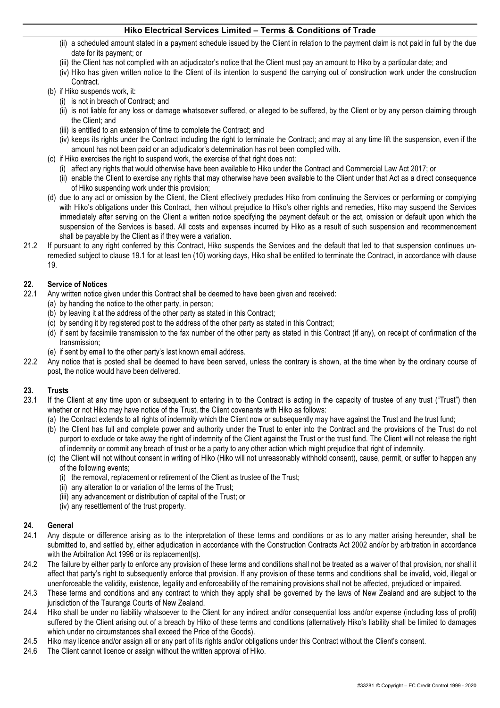- (ii) a scheduled amount stated in a payment schedule issued by the Client in relation to the payment claim is not paid in full by the due date for its payment; or
- (iii) the Client has not complied with an adjudicator's notice that the Client must pay an amount to Hiko by a particular date; and
- (iv) Hiko has given written notice to the Client of its intention to suspend the carrying out of construction work under the construction Contract.
- (b) if Hiko suspends work, it:
	- (i) is not in breach of Contract; and
	- (ii) is not liable for any loss or damage whatsoever suffered, or alleged to be suffered, by the Client or by any person claiming through the Client; and
	- (iii) is entitled to an extension of time to complete the Contract; and
	- (iv) keeps its rights under the Contract including the right to terminate the Contract; and may at any time lift the suspension, even if the amount has not been paid or an adjudicator's determination has not been complied with.
- (c) if Hiko exercises the right to suspend work, the exercise of that right does not:
	- (i) affect any rights that would otherwise have been available to Hiko under the Contract and Commercial Law Act 2017; or
	- (ii) enable the Client to exercise any rights that may otherwise have been available to the Client under that Act as a direct consequence of Hiko suspending work under this provision;
- (d) due to any act or omission by the Client, the Client effectively precludes Hiko from continuing the Services or performing or complying with Hiko's obligations under this Contract, then without prejudice to Hiko's other rights and remedies, Hiko may suspend the Services immediately after serving on the Client a written notice specifying the payment default or the act, omission or default upon which the suspension of the Services is based. All costs and expenses incurred by Hiko as a result of such suspension and recommencement shall be payable by the Client as if they were a variation.
- 21.2 If pursuant to any right conferred by this Contract, Hiko suspends the Services and the default that led to that suspension continues unremedied subject to clause 19.1 for at least ten (10) working days, Hiko shall be entitled to terminate the Contract, in accordance with clause 19.

## **22. Service of Notices**

- 22.1 Any written notice given under this Contract shall be deemed to have been given and received:
	- (a) by handing the notice to the other party, in person;
	- (b) by leaving it at the address of the other party as stated in this Contract;
	- (c) by sending it by registered post to the address of the other party as stated in this Contract;
	- (d) if sent by facsimile transmission to the fax number of the other party as stated in this Contract (if any), on receipt of confirmation of the transmission;
	- (e) if sent by email to the other party's last known email address.
- 22.2 Any notice that is posted shall be deemed to have been served, unless the contrary is shown, at the time when by the ordinary course of post, the notice would have been delivered.

# **23. Trusts**

- If the Client at any time upon or subsequent to entering in to the Contract is acting in the capacity of trustee of any trust ("Trust") then whether or not Hiko may have notice of the Trust, the Client covenants with Hiko as follows:
	- (a) the Contract extends to all rights of indemnity which the Client now or subsequently may have against the Trust and the trust fund;
	- (b) the Client has full and complete power and authority under the Trust to enter into the Contract and the provisions of the Trust do not purport to exclude or take away the right of indemnity of the Client against the Trust or the trust fund. The Client will not release the right of indemnity or commit any breach of trust or be a party to any other action which might prejudice that right of indemnity.
	- (c) the Client will not without consent in writing of Hiko (Hiko will not unreasonably withhold consent), cause, permit, or suffer to happen any of the following events;
		- (i) the removal, replacement or retirement of the Client as trustee of the Trust;
		- (ii) any alteration to or variation of the terms of the Trust;
		- (iii) any advancement or distribution of capital of the Trust; or
		- (iv) any resettlement of the trust property.

#### **24. General**

- 24.1 Any dispute or difference arising as to the interpretation of these terms and conditions or as to any matter arising hereunder, shall be submitted to, and settled by, either adjudication in accordance with the Construction Contracts Act 2002 and/or by arbitration in accordance with the Arbitration Act 1996 or its replacement(s).
- 24.2 The failure by either party to enforce any provision of these terms and conditions shall not be treated as a waiver of that provision, nor shall it affect that party's right to subsequently enforce that provision. If any provision of these terms and conditions shall be invalid, void, illegal or unenforceable the validity, existence, legality and enforceability of the remaining provisions shall not be affected, prejudiced or impaired.
- 24.3 These terms and conditions and any contract to which they apply shall be governed by the laws of New Zealand and are subject to the jurisdiction of the Tauranga Courts of New Zealand.
- 24.4 Hiko shall be under no liability whatsoever to the Client for any indirect and/or consequential loss and/or expense (including loss of profit) suffered by the Client arising out of a breach by Hiko of these terms and conditions (alternatively Hiko's liability shall be limited to damages which under no circumstances shall exceed the Price of the Goods).
- 24.5 Hiko may licence and/or assign all or any part of its rights and/or obligations under this Contract without the Client's consent.
- 24.6 The Client cannot licence or assign without the written approval of Hiko.